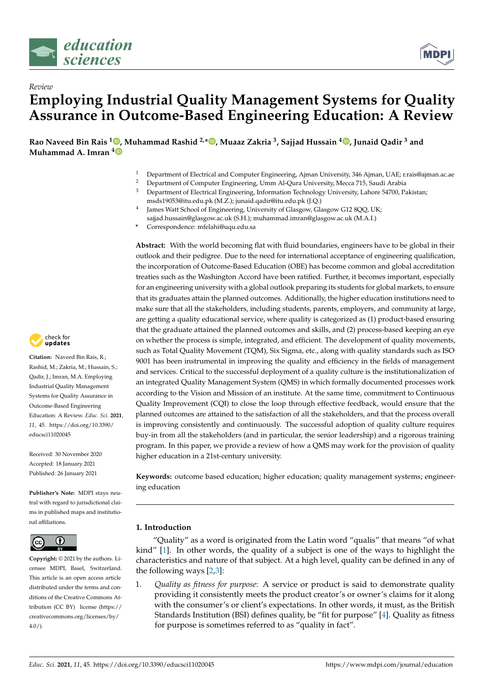



# *Review* **Employing Industrial Quality Management Systems for Quality Assurance in Outcome-Based Engineering Education: A Review**

**Rao Naveed Bin Rais <sup>1</sup> , Muhammad Rashid 2,\* , Muaaz Zakria <sup>3</sup> , Sajjad Hussain <sup>4</sup> , Junaid Qadir <sup>3</sup> and Muhammad A. Imran <sup>4</sup>**

- <sup>1</sup> Department of Electrical and Computer Engineering, Ajman University, 346 Ajman, UAE; r.rais@ajman.ac.ae<br><sup>2</sup> Department of Computer Engineering, Umm ALQura University, Meeca 715, Saudi Arabia
- <sup>2</sup> Department of Computer Engineering, Umm Al-Qura University, Mecca 715, Saudi Arabia<sup>3</sup> Department of Electrical Engineering, Information Technology University, Labora 54700, Pa
- <sup>3</sup> Department of Electrical Engineering, Information Technology University, Lahore 54700, Pakistan; msds19053@itu.edu.pk (M.Z.); junaid.qadir@itu.edu.pk (J.Q.)
- 4 James Watt School of Engineering, University of Glasgow, Glasgow G12 8QQ, UK; sajjad.hussain@glasgow.ac.uk (S.H.); muhammad.imran@glasgow.ac.uk (M.A.I.)
- **\*** Correspondence: mfelahi@uqu.edu.sa

**Abstract:** With the world becoming flat with fluid boundaries, engineers have to be global in their outlook and their pedigree. Due to the need for international acceptance of engineering qualification, the incorporation of Outcome-Based Education (OBE) has become common and global accreditation treaties such as the Washington Accord have been ratified. Further, it becomes important, especially for an engineering university with a global outlook preparing its students for global markets, to ensure that its graduates attain the planned outcomes. Additionally, the higher education institutions need to make sure that all the stakeholders, including students, parents, employers, and community at large, are getting a quality educational service, where quality is categorized as (1) product-based ensuring that the graduate attained the planned outcomes and skills, and (2) process-based keeping an eye on whether the process is simple, integrated, and efficient. The development of quality movements, such as Total Quality Movement (TQM), Six Sigma, etc., along with quality standards such as ISO 9001 has been instrumental in improving the quality and efficiency in the fields of management and services. Critical to the successful deployment of a quality culture is the institutionalization of an integrated Quality Management System (QMS) in which formally documented processes work according to the Vision and Mission of an institute. At the same time, commitment to Continuous Quality Improvement (CQI) to close the loop through effective feedback, would ensure that the planned outcomes are attained to the satisfaction of all the stakeholders, and that the process overall is improving consistently and continuously. The successful adoption of quality culture requires buy-in from all the stakeholders (and in particular, the senior leadership) and a rigorous training program. In this paper, we provide a review of how a QMS may work for the provision of quality higher education in a 21st-century university.

**Keywords:** outcome based education; higher education; quality management systems; engineering education

# **1. Introduction**

"Quality" as a word is originated from the Latin word "qualis" that means "of what kind" [1]. In other words, the quality of a subject is one of the ways to highlight the characteristics and nature of that subject. At a high level, quality can be defined in any of the following ways [2,3]:

1. *Quality as fitness for purpose*: A service or product is said to demonstrate quality providing it consistently meets the product creator's or owner's claims for it along with the consumer's or client's expectations. In other words, it must, as the British Standards Institution (BSI) defines quality, be "fit for purpose" [4]. Quality as fitness for purpose is sometimes referred to as "quality in fact".



**Citation:** Naveed Bin Rais, R.; Rashid, M.; Zakria, M.; Hussain, S.; Qadir, J.; Imran, M.A. Employing Industrial Quality Management Systems for Quality Assurance in Outcome-Based Engineering Education: A Review. *Educ. Sci.* **2021**, *11*, 45. https://doi.org/10.3390/ educsci11020045

Received: 30 November 2020 Accepted: 18 January 2021 Published: 26 January 2021

**Publisher's Note:** MDPI stays neutral with regard to jurisdictional claims in published maps and institutional affiliations.



**Copyright:** © 2021 by the authors. Licensee MDPI, Basel, Switzerland. This article is an open access article distributed under the terms and conditions of the Creative Commons Attribution (CC BY) license (https:// creativecommons.org/licenses/by/  $4.0/$ ).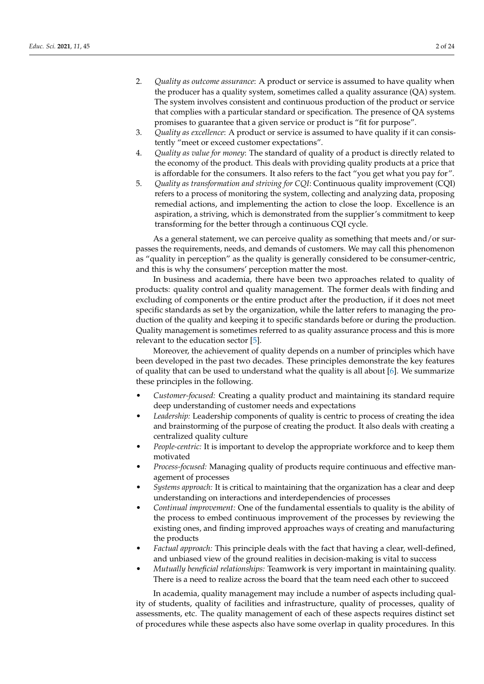- 2. *Quality as outcome assurance*: A product or service is assumed to have quality when the producer has a quality system, sometimes called a quality assurance (QA) system. The system involves consistent and continuous production of the product or service that complies with a particular standard or specification. The presence of QA systems promises to guarantee that a given service or product is "fit for purpose".
- 3. *Quality as excellence*: A product or service is assumed to have quality if it can consistently "meet or exceed customer expectations".
- 4. *Quality as value for money*: The standard of quality of a product is directly related to the economy of the product. This deals with providing quality products at a price that is affordable for the consumers. It also refers to the fact "you get what you pay for".
- 5. *Quality as transformation and striving for CQI*: Continuous quality improvement (CQI) refers to a process of monitoring the system, collecting and analyzing data, proposing remedial actions, and implementing the action to close the loop. Excellence is an aspiration, a striving, which is demonstrated from the supplier's commitment to keep transforming for the better through a continuous CQI cycle.

As a general statement, we can perceive quality as something that meets and/or surpasses the requirements, needs, and demands of customers. We may call this phenomenon as "quality in perception" as the quality is generally considered to be consumer-centric, and this is why the consumers' perception matter the most.

In business and academia, there have been two approaches related to quality of products: quality control and quality management. The former deals with finding and excluding of components or the entire product after the production, if it does not meet specific standards as set by the organization, while the latter refers to managing the production of the quality and keeping it to specific standards before or during the production. Quality management is sometimes referred to as quality assurance process and this is more relevant to the education sector [5].

Moreover, the achievement of quality depends on a number of principles which have been developed in the past two decades. These principles demonstrate the key features of quality that can be used to understand what the quality is all about [6]. We summarize these principles in the following.

- *Customer-focused:* Creating a quality product and maintaining its standard require deep understanding of customer needs and expectations
- *Leadership:* Leadership components of quality is centric to process of creating the idea and brainstorming of the purpose of creating the product. It also deals with creating a centralized quality culture
- *People-centric:* It is important to develop the appropriate workforce and to keep them motivated
- *Process-focused:* Managing quality of products require continuous and effective management of processes
- *Systems approach:* It is critical to maintaining that the organization has a clear and deep understanding on interactions and interdependencies of processes
- *Continual improvement:* One of the fundamental essentials to quality is the ability of the process to embed continuous improvement of the processes by reviewing the existing ones, and finding improved approaches ways of creating and manufacturing the products
- *Factual approach:* This principle deals with the fact that having a clear, well-defined, and unbiased view of the ground realities in decision-making is vital to success
- *Mutually beneficial relationships:* Teamwork is very important in maintaining quality. There is a need to realize across the board that the team need each other to succeed

In academia, quality management may include a number of aspects including quality of students, quality of facilities and infrastructure, quality of processes, quality of assessments, etc. The quality management of each of these aspects requires distinct set of procedures while these aspects also have some overlap in quality procedures. In this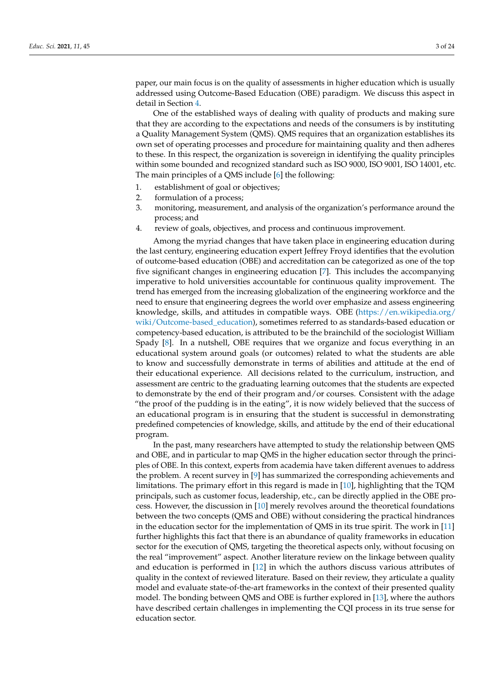paper, our main focus is on the quality of assessments in higher education which is usually addressed using Outcome-Based Education (OBE) paradigm. We discuss this aspect in detail in Section 4.

One of the established ways of dealing with quality of products and making sure that they are according to the expectations and needs of the consumers is by instituting a Quality Management System (QMS). QMS requires that an organization establishes its own set of operating processes and procedure for maintaining quality and then adheres to these. In this respect, the organization is sovereign in identifying the quality principles within some bounded and recognized standard such as ISO 9000, ISO 9001, ISO 14001, etc. The main principles of a QMS include [6] the following:

- 1. establishment of goal or objectives;
- 2. formulation of a process;
- 3. monitoring, measurement, and analysis of the organization's performance around the process; and
- 4. review of goals, objectives, and process and continuous improvement.

Among the myriad changes that have taken place in engineering education during the last century, engineering education expert Jeffrey Froyd identifies that the evolution of outcome-based education (OBE) and accreditation can be categorized as one of the top five significant changes in engineering education [7]. This includes the accompanying imperative to hold universities accountable for continuous quality improvement. The trend has emerged from the increasing globalization of the engineering workforce and the need to ensure that engineering degrees the world over emphasize and assess engineering knowledge, skills, and attitudes in compatible ways. OBE (https://en.wikipedia.org/ wiki/Outcome-based\_education), sometimes referred to as standards-based education or competency-based education, is attributed to be the brainchild of the sociologist William Spady [8]. In a nutshell, OBE requires that we organize and focus everything in an educational system around goals (or outcomes) related to what the students are able to know and successfully demonstrate in terms of abilities and attitude at the end of their educational experience. All decisions related to the curriculum, instruction, and assessment are centric to the graduating learning outcomes that the students are expected to demonstrate by the end of their program and/or courses. Consistent with the adage "the proof of the pudding is in the eating", it is now widely believed that the success of an educational program is in ensuring that the student is successful in demonstrating predefined competencies of knowledge, skills, and attitude by the end of their educational program.

In the past, many researchers have attempted to study the relationship between QMS and OBE, and in particular to map QMS in the higher education sector through the principles of OBE. In this context, experts from academia have taken different avenues to address the problem. A recent survey in [9] has summarized the corresponding achievements and limitations. The primary effort in this regard is made in [10], highlighting that the TQM principals, such as customer focus, leadership, etc., can be directly applied in the OBE process. However, the discussion in [10] merely revolves around the theoretical foundations between the two concepts (QMS and OBE) without considering the practical hindrances in the education sector for the implementation of QMS in its true spirit. The work in [11] further highlights this fact that there is an abundance of quality frameworks in education sector for the execution of QMS, targeting the theoretical aspects only, without focusing on the real "improvement" aspect. Another literature review on the linkage between quality and education is performed in [12] in which the authors discuss various attributes of quality in the context of reviewed literature. Based on their review, they articulate a quality model and evaluate state-of-the-art frameworks in the context of their presented quality model. The bonding between QMS and OBE is further explored in [13], where the authors have described certain challenges in implementing the CQI process in its true sense for education sector.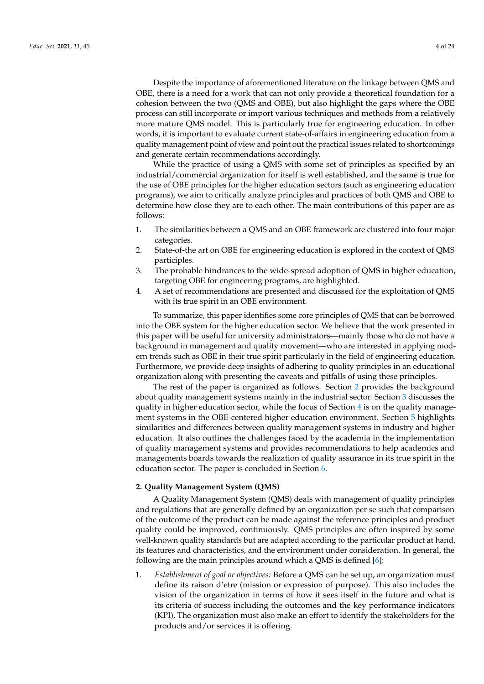Despite the importance of aforementioned literature on the linkage between QMS and OBE, there is a need for a work that can not only provide a theoretical foundation for a cohesion between the two (QMS and OBE), but also highlight the gaps where the OBE process can still incorporate or import various techniques and methods from a relatively more mature QMS model. This is particularly true for engineering education. In other words, it is important to evaluate current state-of-affairs in engineering education from a quality management point of view and point out the practical issues related to shortcomings and generate certain recommendations accordingly.

While the practice of using a QMS with some set of principles as specified by an industrial/commercial organization for itself is well established, and the same is true for the use of OBE principles for the higher education sectors (such as engineering education programs), we aim to critically analyze principles and practices of both QMS and OBE to determine how close they are to each other. The main contributions of this paper are as follows:

- 1. The similarities between a QMS and an OBE framework are clustered into four major categories.
- 2. State-of-the art on OBE for engineering education is explored in the context of QMS participles.
- 3. The probable hindrances to the wide-spread adoption of QMS in higher education, targeting OBE for engineering programs, are highlighted.
- 4. A set of recommendations are presented and discussed for the exploitation of QMS with its true spirit in an OBE environment.

To summarize, this paper identifies some core principles of QMS that can be borrowed into the OBE system for the higher education sector. We believe that the work presented in this paper will be useful for university administrators—mainly those who do not have a background in management and quality movement—who are interested in applying modern trends such as OBE in their true spirit particularly in the field of engineering education. Furthermore, we provide deep insights of adhering to quality principles in an educational organization along with presenting the caveats and pitfalls of using these principles.

The rest of the paper is organized as follows. Section 2 provides the background about quality management systems mainly in the industrial sector. Section 3 discusses the quality in higher education sector, while the focus of Section  $4$  is on the quality management systems in the OBE-centered higher education environment. Section 5 highlights similarities and differences between quality management systems in industry and higher education. It also outlines the challenges faced by the academia in the implementation of quality management systems and provides recommendations to help academics and managements boards towards the realization of quality assurance in its true spirit in the education sector. The paper is concluded in Section 6.

#### **2. Quality Management System (QMS)**

A Quality Management System (QMS) deals with management of quality principles and regulations that are generally defined by an organization per se such that comparison of the outcome of the product can be made against the reference principles and product quality could be improved, continuously. QMS principles are often inspired by some well-known quality standards but are adapted according to the particular product at hand, its features and characteristics, and the environment under consideration. In general, the following are the main principles around which a QMS is defined [6]:

1. *Establishment of goal or objectives:* Before a QMS can be set up, an organization must define its raison d'etre (mission or expression of purpose). This also includes the vision of the organization in terms of how it sees itself in the future and what is its criteria of success including the outcomes and the key performance indicators (KPI). The organization must also make an effort to identify the stakeholders for the products and/or services it is offering.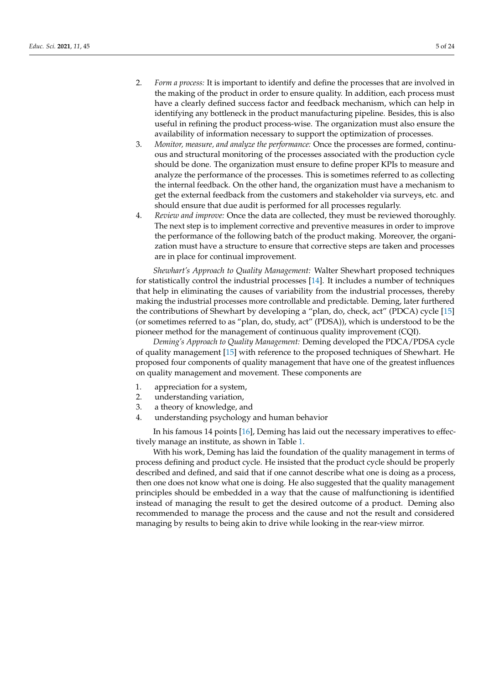- 2. *Form a process:* It is important to identify and define the processes that are involved in the making of the product in order to ensure quality. In addition, each process must have a clearly defined success factor and feedback mechanism, which can help in identifying any bottleneck in the product manufacturing pipeline. Besides, this is also useful in refining the product process-wise. The organization must also ensure the availability of information necessary to support the optimization of processes.
- 3. *Monitor, measure, and analyze the performance:* Once the processes are formed, continuous and structural monitoring of the processes associated with the production cycle should be done. The organization must ensure to define proper KPIs to measure and analyze the performance of the processes. This is sometimes referred to as collecting the internal feedback. On the other hand, the organization must have a mechanism to get the external feedback from the customers and stakeholder via surveys, etc. and should ensure that due audit is performed for all processes regularly.
- 4. *Review and improve:* Once the data are collected, they must be reviewed thoroughly. The next step is to implement corrective and preventive measures in order to improve the performance of the following batch of the product making. Moreover, the organization must have a structure to ensure that corrective steps are taken and processes are in place for continual improvement.

*Shewhart's Approach to Quality Management:* Walter Shewhart proposed techniques for statistically control the industrial processes [14]. It includes a number of techniques that help in eliminating the causes of variability from the industrial processes, thereby making the industrial processes more controllable and predictable. Deming, later furthered the contributions of Shewhart by developing a "plan, do, check, act" (PDCA) cycle [15] (or sometimes referred to as "plan, do, study, act" (PDSA)), which is understood to be the pioneer method for the management of continuous quality improvement (CQI).

*Deming's Approach to Quality Management:* Deming developed the PDCA/PDSA cycle of quality management [15] with reference to the proposed techniques of Shewhart. He proposed four components of quality management that have one of the greatest influences on quality management and movement. These components are

- 1. appreciation for a system,
- 2. understanding variation,
- 3. a theory of knowledge, and
- 4. understanding psychology and human behavior

In his famous 14 points [16], Deming has laid out the necessary imperatives to effectively manage an institute, as shown in Table 1.

With his work, Deming has laid the foundation of the quality management in terms of process defining and product cycle. He insisted that the product cycle should be properly described and defined, and said that if one cannot describe what one is doing as a process, then one does not know what one is doing. He also suggested that the quality management principles should be embedded in a way that the cause of malfunctioning is identified instead of managing the result to get the desired outcome of a product. Deming also recommended to manage the process and the cause and not the result and considered managing by results to being akin to drive while looking in the rear-view mirror.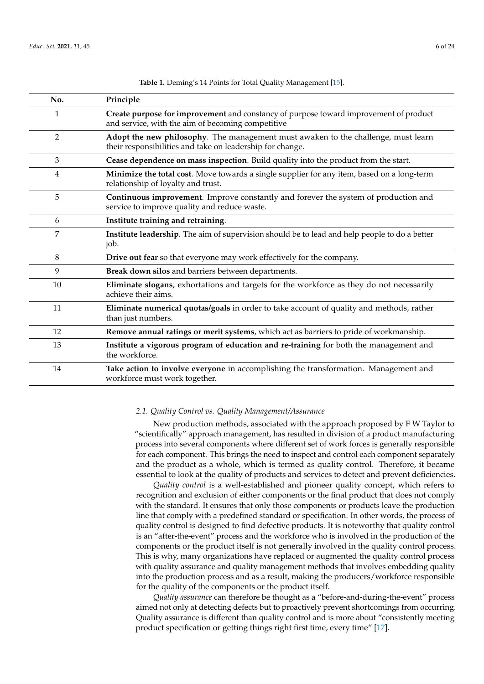| No. | Principle                                                                                                                                      |
|-----|------------------------------------------------------------------------------------------------------------------------------------------------|
| 1   | Create purpose for improvement and constancy of purpose toward improvement of product<br>and service, with the aim of becoming competitive     |
| 2   | Adopt the new philosophy. The management must awaken to the challenge, must learn<br>their responsibilities and take on leadership for change. |
| 3   | Cease dependence on mass inspection. Build quality into the product from the start.                                                            |
| 4   | Minimize the total cost. Move towards a single supplier for any item, based on a long-term<br>relationship of loyalty and trust.               |
| 5   | Continuous improvement. Improve constantly and forever the system of production and<br>service to improve quality and reduce waste.            |
| 6   | Institute training and retraining.                                                                                                             |
| 7   | Institute leadership. The aim of supervision should be to lead and help people to do a better<br>job.                                          |
| 8   | Drive out fear so that everyone may work effectively for the company.                                                                          |
| 9   | Break down silos and barriers between departments.                                                                                             |
| 10  | Eliminate slogans, exhortations and targets for the workforce as they do not necessarily<br>achieve their aims.                                |
| 11  | Eliminate numerical quotas/goals in order to take account of quality and methods, rather<br>than just numbers.                                 |
| 12  | Remove annual ratings or merit systems, which act as barriers to pride of workmanship.                                                         |
| 13  | Institute a vigorous program of education and re-training for both the management and<br>the workforce.                                        |
| 14  | Take action to involve everyone in accomplishing the transformation. Management and<br>workforce must work together.                           |

**Table 1.** Deming's 14 Points for Total Quality Management [15].

# *2.1. Quality Control vs. Quality Management/Assurance*

New production methods, associated with the approach proposed by F W Taylor to "scientifically" approach management, has resulted in division of a product manufacturing process into several components where different set of work forces is generally responsible for each component. This brings the need to inspect and control each component separately and the product as a whole, which is termed as quality control. Therefore, it became essential to look at the quality of products and services to detect and prevent deficiencies.

*Quality control* is a well-established and pioneer quality concept, which refers to recognition and exclusion of either components or the final product that does not comply with the standard. It ensures that only those components or products leave the production line that comply with a predefined standard or specification. In other words, the process of quality control is designed to find defective products. It is noteworthy that quality control is an "after-the-event" process and the workforce who is involved in the production of the components or the product itself is not generally involved in the quality control process. This is why, many organizations have replaced or augmented the quality control process with quality assurance and quality management methods that involves embedding quality into the production process and as a result, making the producers/workforce responsible for the quality of the components or the product itself.

*Quality assurance* can therefore be thought as a "before-and-during-the-event" process aimed not only at detecting defects but to proactively prevent shortcomings from occurring. Quality assurance is different than quality control and is more about "consistently meeting product specification or getting things right first time, every time" [17].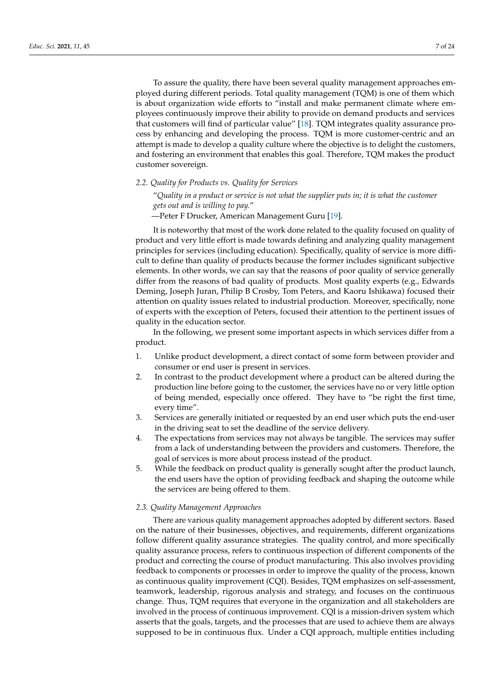To assure the quality, there have been several quality management approaches employed during different periods. Total quality management (TQM) is one of them which is about organization wide efforts to "install and make permanent climate where employees continuously improve their ability to provide on demand products and services that customers will find of particular value" [18]. TQM integrates quality assurance process by enhancing and developing the process. TQM is more customer-centric and an attempt is made to develop a quality culture where the objective is to delight the customers, and fostering an environment that enables this goal. Therefore, TQM makes the product customer sovereign.

*2.2. Quality for Products vs. Quality for Services*

"*Quality in a product or service is not what the supplier puts in; it is what the customer gets out and is willing to pay.*"

—Peter F Drucker, American Management Guru [19].

It is noteworthy that most of the work done related to the quality focused on quality of product and very little effort is made towards defining and analyzing quality management principles for services (including education). Specifically, quality of service is more difficult to define than quality of products because the former includes significant subjective elements. In other words, we can say that the reasons of poor quality of service generally differ from the reasons of bad quality of products. Most quality experts (e.g., Edwards Deming, Joseph Juran, Philip B Crosby, Tom Peters, and Kaoru Ishikawa) focused their attention on quality issues related to industrial production. Moreover, specifically, none of experts with the exception of Peters, focused their attention to the pertinent issues of quality in the education sector.

In the following, we present some important aspects in which services differ from a product.

- 1. Unlike product development, a direct contact of some form between provider and consumer or end user is present in services.
- 2. In contrast to the product development where a product can be altered during the production line before going to the customer, the services have no or very little option of being mended, especially once offered. They have to "be right the first time, every time".
- 3. Services are generally initiated or requested by an end user which puts the end-user in the driving seat to set the deadline of the service delivery.
- 4. The expectations from services may not always be tangible. The services may suffer from a lack of understanding between the providers and customers. Therefore, the goal of services is more about process instead of the product.
- 5. While the feedback on product quality is generally sought after the product launch, the end users have the option of providing feedback and shaping the outcome while the services are being offered to them.

#### *2.3. Quality Management Approaches*

There are various quality management approaches adopted by different sectors. Based on the nature of their businesses, objectives, and requirements, different organizations follow different quality assurance strategies. The quality control, and more specifically quality assurance process, refers to continuous inspection of different components of the product and correcting the course of product manufacturing. This also involves providing feedback to components or processes in order to improve the quality of the process, known as continuous quality improvement (CQI). Besides, TQM emphasizes on self-assessment, teamwork, leadership, rigorous analysis and strategy, and focuses on the continuous change. Thus, TQM requires that everyone in the organization and all stakeholders are involved in the process of continuous improvement. CQI is a mission-driven system which asserts that the goals, targets, and the processes that are used to achieve them are always supposed to be in continuous flux. Under a CQI approach, multiple entities including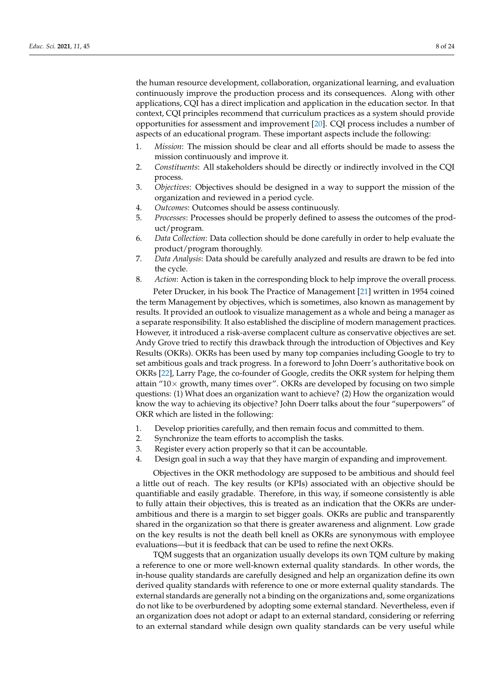the human resource development, collaboration, organizational learning, and evaluation continuously improve the production process and its consequences. Along with other applications, CQI has a direct implication and application in the education sector. In that context, CQI principles recommend that curriculum practices as a system should provide opportunities for assessment and improvement [20]. CQI process includes a number of aspects of an educational program. These important aspects include the following:

- 1. *Mission*: The mission should be clear and all efforts should be made to assess the mission continuously and improve it.
- 2. *Constituents*: All stakeholders should be directly or indirectly involved in the CQI process.
- 3. *Objectives*: Objectives should be designed in a way to support the mission of the organization and reviewed in a period cycle.
- 4. *Outcomes*: Outcomes should be assess continuously.
- 5. *Processes*: Processes should be properly defined to assess the outcomes of the product/program.
- 6. *Data Collection*: Data collection should be done carefully in order to help evaluate the product/program thoroughly.
- 7. *Data Analysis*: Data should be carefully analyzed and results are drawn to be fed into the cycle.
- 8. *Action*: Action is taken in the corresponding block to help improve the overall process.

Peter Drucker, in his book The Practice of Management [21] written in 1954 coined the term Management by objectives, which is sometimes, also known as management by results. It provided an outlook to visualize management as a whole and being a manager as a separate responsibility. It also established the discipline of modern management practices. However, it introduced a risk-averse complacent culture as conservative objectives are set. Andy Grove tried to rectify this drawback through the introduction of Objectives and Key Results (OKRs). OKRs has been used by many top companies including Google to try to set ambitious goals and track progress. In a foreword to John Doerr's authoritative book on OKRs [22], Larry Page, the co-founder of Google, credits the OKR system for helping them attain " $10\times$  growth, many times over". OKRs are developed by focusing on two simple questions: (1) What does an organization want to achieve? (2) How the organization would know the way to achieving its objective? John Doerr talks about the four "superpowers" of OKR which are listed in the following:

- 1. Develop priorities carefully, and then remain focus and committed to them.
- 2. Synchronize the team efforts to accomplish the tasks.
- 3. Register every action properly so that it can be accountable.
- 4. Design goal in such a way that they have margin of expanding and improvement.

Objectives in the OKR methodology are supposed to be ambitious and should feel a little out of reach. The key results (or KPIs) associated with an objective should be quantifiable and easily gradable. Therefore, in this way, if someone consistently is able to fully attain their objectives, this is treated as an indication that the OKRs are underambitious and there is a margin to set bigger goals. OKRs are public and transparently shared in the organization so that there is greater awareness and alignment. Low grade on the key results is not the death bell knell as OKRs are synonymous with employee evaluations—but it is feedback that can be used to refine the next OKRs.

TQM suggests that an organization usually develops its own TQM culture by making a reference to one or more well-known external quality standards. In other words, the in-house quality standards are carefully designed and help an organization define its own derived quality standards with reference to one or more external quality standards. The external standards are generally not a binding on the organizations and, some organizations do not like to be overburdened by adopting some external standard. Nevertheless, even if an organization does not adopt or adapt to an external standard, considering or referring to an external standard while design own quality standards can be very useful while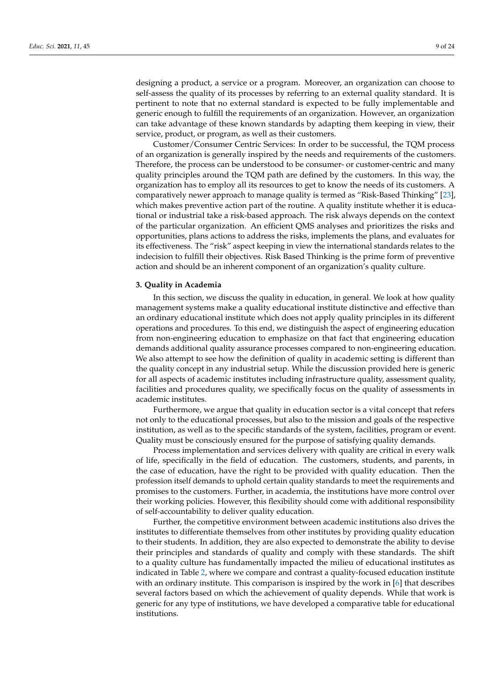designing a product, a service or a program. Moreover, an organization can choose to self-assess the quality of its processes by referring to an external quality standard. It is pertinent to note that no external standard is expected to be fully implementable and generic enough to fulfill the requirements of an organization. However, an organization can take advantage of these known standards by adapting them keeping in view, their service, product, or program, as well as their customers.

Customer/Consumer Centric Services: In order to be successful, the TQM process of an organization is generally inspired by the needs and requirements of the customers. Therefore, the process can be understood to be consumer- or customer-centric and many quality principles around the TQM path are defined by the customers. In this way, the organization has to employ all its resources to get to know the needs of its customers. A comparatively newer approach to manage quality is termed as "Risk-Based Thinking" [23], which makes preventive action part of the routine. A quality institute whether it is educational or industrial take a risk-based approach. The risk always depends on the context of the particular organization. An efficient QMS analyses and prioritizes the risks and opportunities, plans actions to address the risks, implements the plans, and evaluates for its effectiveness. The "risk" aspect keeping in view the international standards relates to the indecision to fulfill their objectives. Risk Based Thinking is the prime form of preventive action and should be an inherent component of an organization's quality culture.

#### **3. Quality in Academia**

In this section, we discuss the quality in education, in general. We look at how quality management systems make a quality educational institute distinctive and effective than an ordinary educational institute which does not apply quality principles in its different operations and procedures. To this end, we distinguish the aspect of engineering education from non-engineering education to emphasize on that fact that engineering education demands additional quality assurance processes compared to non-engineering education. We also attempt to see how the definition of quality in academic setting is different than the quality concept in any industrial setup. While the discussion provided here is generic for all aspects of academic institutes including infrastructure quality, assessment quality, facilities and procedures quality, we specifically focus on the quality of assessments in academic institutes.

Furthermore, we argue that quality in education sector is a vital concept that refers not only to the educational processes, but also to the mission and goals of the respective institution, as well as to the specific standards of the system, facilities, program or event. Quality must be consciously ensured for the purpose of satisfying quality demands.

Process implementation and services delivery with quality are critical in every walk of life, specifically in the field of education. The customers, students, and parents, in the case of education, have the right to be provided with quality education. Then the profession itself demands to uphold certain quality standards to meet the requirements and promises to the customers. Further, in academia, the institutions have more control over their working policies. However, this flexibility should come with additional responsibility of self-accountability to deliver quality education.

Further, the competitive environment between academic institutions also drives the institutes to differentiate themselves from other institutes by providing quality education to their students. In addition, they are also expected to demonstrate the ability to devise their principles and standards of quality and comply with these standards. The shift to a quality culture has fundamentally impacted the milieu of educational institutes as indicated in Table 2, where we compare and contrast a quality-focused education institute with an ordinary institute. This comparison is inspired by the work in [6] that describes several factors based on which the achievement of quality depends. While that work is generic for any type of institutions, we have developed a comparative table for educational institutions.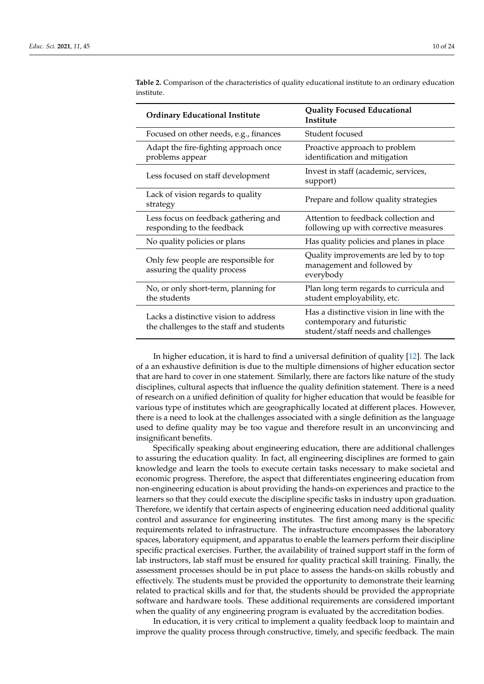| <b>Ordinary Educational Institute</b>                                             | <b>Quality Focused Educational</b><br><b>Institute</b>                                                         |
|-----------------------------------------------------------------------------------|----------------------------------------------------------------------------------------------------------------|
| Focused on other needs, e.g., finances                                            | Student focused                                                                                                |
| Adapt the fire-fighting approach once<br>problems appear                          | Proactive approach to problem<br>identification and mitigation                                                 |
| Less focused on staff development                                                 | Invest in staff (academic, services,<br>support)                                                               |
| Lack of vision regards to quality<br>strategy                                     | Prepare and follow quality strategies                                                                          |
| Less focus on feedback gathering and<br>responding to the feedback                | Attention to feedback collection and<br>following up with corrective measures                                  |
| No quality policies or plans                                                      | Has quality policies and planes in place                                                                       |
| Only few people are responsible for<br>assuring the quality process               | Quality improvements are led by to top<br>management and followed by<br>everybody                              |
| No, or only short-term, planning for<br>the students                              | Plan long term regards to curricula and<br>student employability, etc.                                         |
| Lacks a distinctive vision to address<br>the challenges to the staff and students | Has a distinctive vision in line with the<br>contemporary and futuristic<br>student/staff needs and challenges |

**Table 2.** Comparison of the characteristics of quality educational institute to an ordinary education institute.

In higher education, it is hard to find a universal definition of quality [12]. The lack of a an exhaustive definition is due to the multiple dimensions of higher education sector that are hard to cover in one statement. Similarly, there are factors like nature of the study disciplines, cultural aspects that influence the quality definition statement. There is a need of research on a unified definition of quality for higher education that would be feasible for various type of institutes which are geographically located at different places. However, there is a need to look at the challenges associated with a single definition as the language used to define quality may be too vague and therefore result in an unconvincing and insignificant benefits.

Specifically speaking about engineering education, there are additional challenges to assuring the education quality. In fact, all engineering disciplines are formed to gain knowledge and learn the tools to execute certain tasks necessary to make societal and economic progress. Therefore, the aspect that differentiates engineering education from non-engineering education is about providing the hands-on experiences and practice to the learners so that they could execute the discipline specific tasks in industry upon graduation. Therefore, we identify that certain aspects of engineering education need additional quality control and assurance for engineering institutes. The first among many is the specific requirements related to infrastructure. The infrastructure encompasses the laboratory spaces, laboratory equipment, and apparatus to enable the learners perform their discipline specific practical exercises. Further, the availability of trained support staff in the form of lab instructors, lab staff must be ensured for quality practical skill training. Finally, the assessment processes should be in put place to assess the hands-on skills robustly and effectively. The students must be provided the opportunity to demonstrate their learning related to practical skills and for that, the students should be provided the appropriate software and hardware tools. These additional requirements are considered important when the quality of any engineering program is evaluated by the accreditation bodies.

In education, it is very critical to implement a quality feedback loop to maintain and improve the quality process through constructive, timely, and specific feedback. The main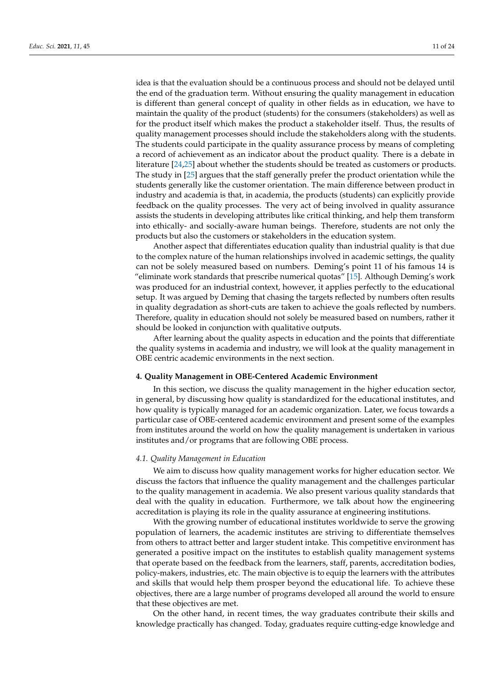idea is that the evaluation should be a continuous process and should not be delayed until the end of the graduation term. Without ensuring the quality management in education is different than general concept of quality in other fields as in education, we have to maintain the quality of the product (students) for the consumers (stakeholders) as well as for the product itself which makes the product a stakeholder itself. Thus, the results of quality management processes should include the stakeholders along with the students. The students could participate in the quality assurance process by means of completing a record of achievement as an indicator about the product quality. There is a debate in literature [24,25] about whether the students should be treated as customers or products. The study in [25] argues that the staff generally prefer the product orientation while the students generally like the customer orientation. The main difference between product in industry and academia is that, in academia, the products (students) can explicitly provide feedback on the quality processes. The very act of being involved in quality assurance assists the students in developing attributes like critical thinking, and help them transform into ethically- and socially-aware human beings. Therefore, students are not only the products but also the customers or stakeholders in the education system.

Another aspect that differentiates education quality than industrial quality is that due to the complex nature of the human relationships involved in academic settings, the quality can not be solely measured based on numbers. Deming's point 11 of his famous 14 is "eliminate work standards that prescribe numerical quotas" [15]. Although Deming's work was produced for an industrial context, however, it applies perfectly to the educational setup. It was argued by Deming that chasing the targets reflected by numbers often results in quality degradation as short-cuts are taken to achieve the goals reflected by numbers. Therefore, quality in education should not solely be measured based on numbers, rather it should be looked in conjunction with qualitative outputs.

After learning about the quality aspects in education and the points that differentiate the quality systems in academia and industry, we will look at the quality management in OBE centric academic environments in the next section.

#### **4. Quality Management in OBE-Centered Academic Environment**

In this section, we discuss the quality management in the higher education sector, in general, by discussing how quality is standardized for the educational institutes, and how quality is typically managed for an academic organization. Later, we focus towards a particular case of OBE-centered academic environment and present some of the examples from institutes around the world on how the quality management is undertaken in various institutes and/or programs that are following OBE process.

# *4.1. Quality Management in Education*

We aim to discuss how quality management works for higher education sector. We discuss the factors that influence the quality management and the challenges particular to the quality management in academia. We also present various quality standards that deal with the quality in education. Furthermore, we talk about how the engineering accreditation is playing its role in the quality assurance at engineering institutions.

With the growing number of educational institutes worldwide to serve the growing population of learners, the academic institutes are striving to differentiate themselves from others to attract better and larger student intake. This competitive environment has generated a positive impact on the institutes to establish quality management systems that operate based on the feedback from the learners, staff, parents, accreditation bodies, policy-makers, industries, etc. The main objective is to equip the learners with the attributes and skills that would help them prosper beyond the educational life. To achieve these objectives, there are a large number of programs developed all around the world to ensure that these objectives are met.

On the other hand, in recent times, the way graduates contribute their skills and knowledge practically has changed. Today, graduates require cutting-edge knowledge and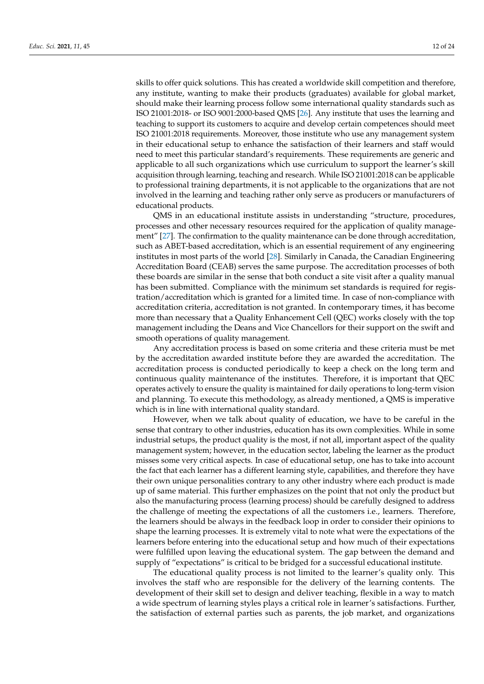skills to offer quick solutions. This has created a worldwide skill competition and therefore, any institute, wanting to make their products (graduates) available for global market, should make their learning process follow some international quality standards such as ISO 21001:2018- or ISO 9001:2000-based QMS [26]. Any institute that uses the learning and teaching to support its customers to acquire and develop certain competences should meet ISO 21001:2018 requirements. Moreover, those institute who use any management system in their educational setup to enhance the satisfaction of their learners and staff would need to meet this particular standard's requirements. These requirements are generic and applicable to all such organizations which use curriculum to support the learner's skill acquisition through learning, teaching and research. While ISO 21001:2018 can be applicable to professional training departments, it is not applicable to the organizations that are not involved in the learning and teaching rather only serve as producers or manufacturers of educational products.

QMS in an educational institute assists in understanding "structure, procedures, processes and other necessary resources required for the application of quality management" [27]. The confirmation to the quality maintenance can be done through accreditation, such as ABET-based accreditation, which is an essential requirement of any engineering institutes in most parts of the world [28]. Similarly in Canada, the Canadian Engineering Accreditation Board (CEAB) serves the same purpose. The accreditation processes of both these boards are similar in the sense that both conduct a site visit after a quality manual has been submitted. Compliance with the minimum set standards is required for registration/accreditation which is granted for a limited time. In case of non-compliance with accreditation criteria, accreditation is not granted. In contemporary times, it has become more than necessary that a Quality Enhancement Cell (QEC) works closely with the top management including the Deans and Vice Chancellors for their support on the swift and smooth operations of quality management.

Any accreditation process is based on some criteria and these criteria must be met by the accreditation awarded institute before they are awarded the accreditation. The accreditation process is conducted periodically to keep a check on the long term and continuous quality maintenance of the institutes. Therefore, it is important that QEC operates actively to ensure the quality is maintained for daily operations to long-term vision and planning. To execute this methodology, as already mentioned, a QMS is imperative which is in line with international quality standard.

However, when we talk about quality of education, we have to be careful in the sense that contrary to other industries, education has its own complexities. While in some industrial setups, the product quality is the most, if not all, important aspect of the quality management system; however, in the education sector, labeling the learner as the product misses some very critical aspects. In case of educational setup, one has to take into account the fact that each learner has a different learning style, capabilities, and therefore they have their own unique personalities contrary to any other industry where each product is made up of same material. This further emphasizes on the point that not only the product but also the manufacturing process (learning process) should be carefully designed to address the challenge of meeting the expectations of all the customers i.e., learners. Therefore, the learners should be always in the feedback loop in order to consider their opinions to shape the learning processes. It is extremely vital to note what were the expectations of the learners before entering into the educational setup and how much of their expectations were fulfilled upon leaving the educational system. The gap between the demand and supply of "expectations" is critical to be bridged for a successful educational institute.

The educational quality process is not limited to the learner's quality only. This involves the staff who are responsible for the delivery of the learning contents. The development of their skill set to design and deliver teaching, flexible in a way to match a wide spectrum of learning styles plays a critical role in learner's satisfactions. Further, the satisfaction of external parties such as parents, the job market, and organizations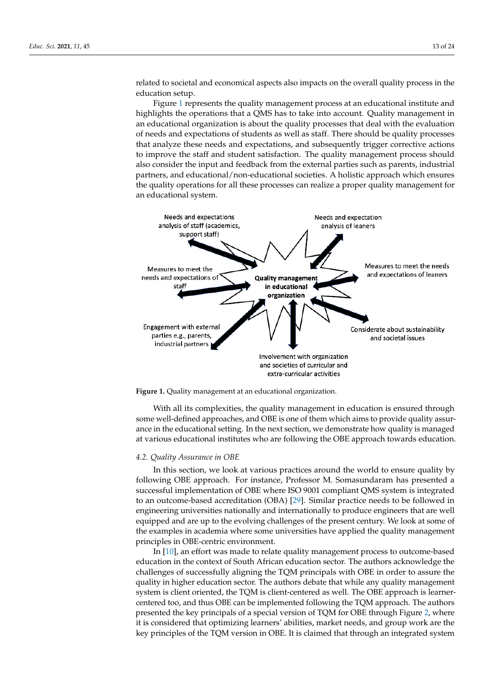related to societal and economical aspects also impacts on the overall quality process in the education setup.

Figure 1 represents the quality management process at an educational institute and highlights the operations that a QMS has to take into account. Quality management in an educational organization is about the quality processes that deal with the evaluation of needs and expectations of students as well as staff. There should be quality processes that analyze these needs and expectations, and subsequently trigger corrective actions to improve the staff and student satisfaction. The quality management process should also consider the input and feedback from the external parties such as parents, industrial partners, and educational/non-educational societies. A holistic approach which ensures the quality operations for all these processes can realize a proper quality management for an educational system.



**Figure 1.** Quality management at an educational organization.

With all its complexities, the quality management in education is ensured through some well-defined approaches, and OBE is one of them which aims to provide quality assurance in the educational setting. In the next section, we demonstrate how quality is managed at various educational institutes who are following the OBE approach towards education.

#### *4.2. Quality Assurance in OBE*

In this section, we look at various practices around the world to ensure quality by following OBE approach. For instance, Professor M. Somasundaram has presented a successful implementation of OBE where ISO 9001 compliant QMS system is integrated to an outcome-based accreditation (OBA) [29]. Similar practice needs to be followed in engineering universities nationally and internationally to produce engineers that are well equipped and are up to the evolving challenges of the present century. We look at some of the examples in academia where some universities have applied the quality management principles in OBE-centric environment.

In [10], an effort was made to relate quality management process to outcome-based education in the context of South African education sector. The authors acknowledge the challenges of successfully aligning the TQM principals with OBE in order to assure the quality in higher education sector. The authors debate that while any quality management system is client oriented, the TQM is client-centered as well. The OBE approach is learnercentered too, and thus OBE can be implemented following the TQM approach. The authors presented the key principals of a special version of TQM for OBE through Figure 2, where it is considered that optimizing learners' abilities, market needs, and group work are the key principles of the TQM version in OBE. It is claimed that through an integrated system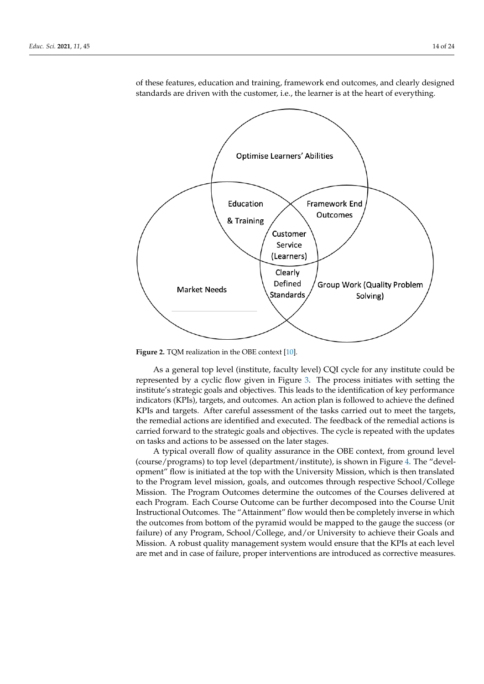

of these features, education and training, framework end outcomes, and clearly designed standards are driven with the customer, i.e., the learner is at the heart of everything.

**Figure 2.** TQM realization in the OBE context [10].

As a general top level (institute, faculty level) CQI cycle for any institute could be represented by a cyclic flow given in Figure 3. The process initiates with setting the institute's strategic goals and objectives. This leads to the identification of key performance indicators (KPIs), targets, and outcomes. An action plan is followed to achieve the defined KPIs and targets. After careful assessment of the tasks carried out to meet the targets, the remedial actions are identified and executed. The feedback of the remedial actions is carried forward to the strategic goals and objectives. The cycle is repeated with the updates on tasks and actions to be assessed on the later stages.

A typical overall flow of quality assurance in the OBE context, from ground level (course/programs) to top level (department/institute), is shown in Figure 4. The "development" flow is initiated at the top with the University Mission, which is then translated to the Program level mission, goals, and outcomes through respective School/College Mission. The Program Outcomes determine the outcomes of the Courses delivered at each Program. Each Course Outcome can be further decomposed into the Course Unit Instructional Outcomes. The "Attainment" flow would then be completely inverse in which the outcomes from bottom of the pyramid would be mapped to the gauge the success (or failure) of any Program, School/College, and/or University to achieve their Goals and Mission. A robust quality management system would ensure that the KPIs at each level are met and in case of failure, proper interventions are introduced as corrective measures.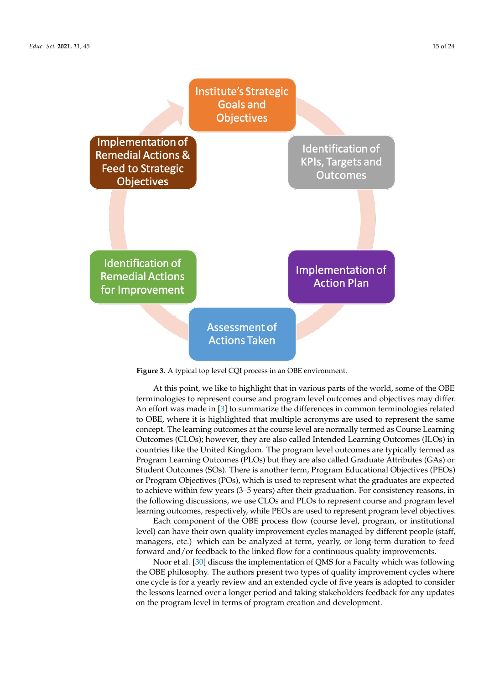

**Figure 3.** A typical top level CQI process in an OBE environment.

At this point, we like to highlight that in various parts of the world, some of the OBE terminologies to represent course and program level outcomes and objectives may differ. An effort was made in [3] to summarize the differences in common terminologies related to OBE, where it is highlighted that multiple acronyms are used to represent the same concept. The learning outcomes at the course level are normally termed as Course Learning Outcomes (CLOs); however, they are also called Intended Learning Outcomes (ILOs) in countries like the United Kingdom. The program level outcomes are typically termed as Program Learning Outcomes (PLOs) but they are also called Graduate Attributes (GAs) or Student Outcomes (SOs). There is another term, Program Educational Objectives (PEOs) or Program Objectives (POs), which is used to represent what the graduates are expected to achieve within few years (3–5 years) after their graduation. For consistency reasons, in the following discussions, we use CLOs and PLOs to represent course and program level learning outcomes, respectively, while PEOs are used to represent program level objectives.

Each component of the OBE process flow (course level, program, or institutional level) can have their own quality improvement cycles managed by different people (staff, managers, etc.) which can be analyzed at term, yearly, or long-term duration to feed forward and/or feedback to the linked flow for a continuous quality improvements.

Noor et al. [30] discuss the implementation of QMS for a Faculty which was following the OBE philosophy. The authors present two types of quality improvement cycles where one cycle is for a yearly review and an extended cycle of five years is adopted to consider the lessons learned over a longer period and taking stakeholders feedback for any updates on the program level in terms of program creation and development.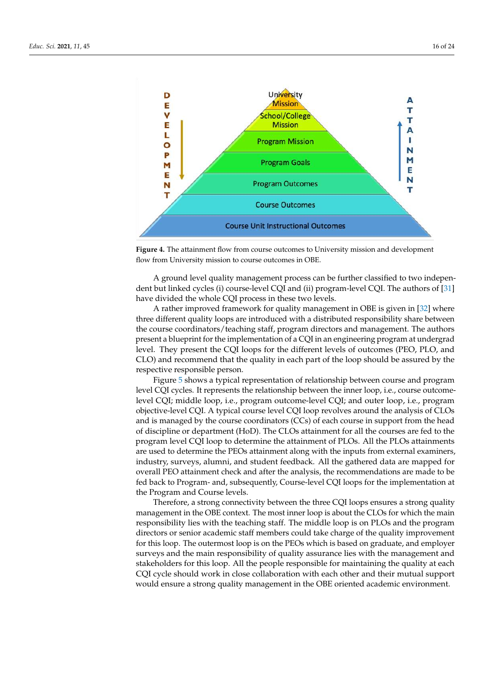



**Figure 4.** The attainment flow from course outcomes to University mission and development flow from University mission to course outcomes in OBE.

A ground level quality management process can be further classified to two independent but linked cycles (i) course-level CQI and (ii) program-level CQI. The authors of [31] have divided the whole CQI process in these two levels.

A rather improved framework for quality management in OBE is given in [32] where three different quality loops are introduced with a distributed responsibility share between the course coordinators/teaching staff, program directors and management. The authors present a blueprint for the implementation of a CQI in an engineering program at undergrad level. They present the CQI loops for the different levels of outcomes (PEO, PLO, and CLO) and recommend that the quality in each part of the loop should be assured by the respective responsible person.

Figure 5 shows a typical representation of relationship between course and program level CQI cycles. It represents the relationship between the inner loop, i.e., course outcomelevel CQI; middle loop, i.e., program outcome-level CQI; and outer loop, i.e., program objective-level CQI. A typical course level CQI loop revolves around the analysis of CLOs and is managed by the course coordinators (CCs) of each course in support from the head of discipline or department (HoD). The CLOs attainment for all the courses are fed to the program level CQI loop to determine the attainment of PLOs. All the PLOs attainments are used to determine the PEOs attainment along with the inputs from external examiners, industry, surveys, alumni, and student feedback. All the gathered data are mapped for overall PEO attainment check and after the analysis, the recommendations are made to be fed back to Program- and, subsequently, Course-level CQI loops for the implementation at the Program and Course levels.

Therefore, a strong connectivity between the three CQI loops ensures a strong quality management in the OBE context. The most inner loop is about the CLOs for which the main responsibility lies with the teaching staff. The middle loop is on PLOs and the program directors or senior academic staff members could take charge of the quality improvement for this loop. The outermost loop is on the PEOs which is based on graduate, and employer surveys and the main responsibility of quality assurance lies with the management and stakeholders for this loop. All the people responsible for maintaining the quality at each CQI cycle should work in close collaboration with each other and their mutual support would ensure a strong quality management in the OBE oriented academic environment.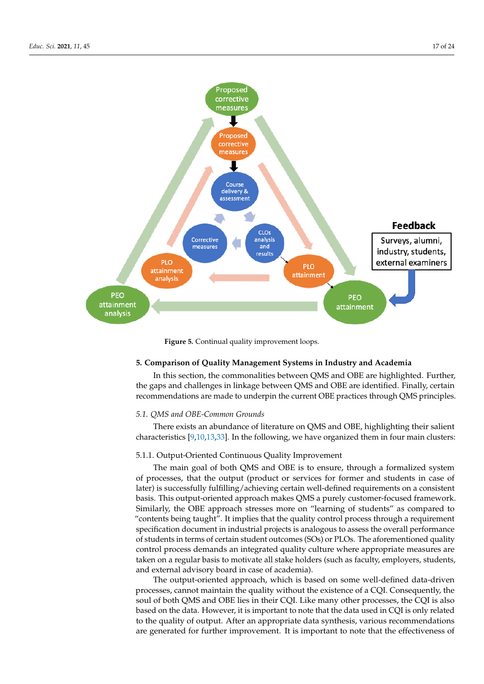

**Figure 5.** Continual quality improvement loops.

# **5. Comparison of Quality Management Systems in Industry and Academia**

In this section, the commonalities between QMS and OBE are highlighted. Further, the gaps and challenges in linkage between QMS and OBE are identified. Finally, certain recommendations are made to underpin the current OBE practices through QMS principles.

# *5.1. QMS and OBE-Common Grounds*

There exists an abundance of literature on QMS and OBE, highlighting their salient characteristics [9,10,13,33]. In the following, we have organized them in four main clusters:

#### 5.1.1. Output-Oriented Continuous Quality Improvement

The main goal of both QMS and OBE is to ensure, through a formalized system of processes, that the output (product or services for former and students in case of later) is successfully fulfilling/achieving certain well-defined requirements on a consistent basis. This output-oriented approach makes QMS a purely customer-focused framework. Similarly, the OBE approach stresses more on "learning of students" as compared to "contents being taught". It implies that the quality control process through a requirement specification document in industrial projects is analogous to assess the overall performance of students in terms of certain student outcomes (SOs) or PLOs. The aforementioned quality control process demands an integrated quality culture where appropriate measures are taken on a regular basis to motivate all stake holders (such as faculty, employers, students, and external advisory board in case of academia).

The output-oriented approach, which is based on some well-defined data-driven processes, cannot maintain the quality without the existence of a CQI. Consequently, the soul of both QMS and OBE lies in their CQI. Like many other processes, the CQI is also based on the data. However, it is important to note that the data used in CQI is only related to the quality of output. After an appropriate data synthesis, various recommendations are generated for further improvement. It is important to note that the effectiveness of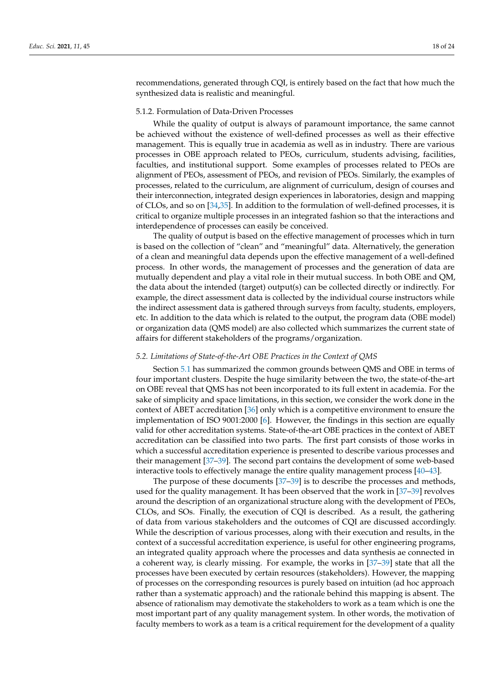recommendations, generated through CQI, is entirely based on the fact that how much the synthesized data is realistic and meaningful.

# 5.1.2. Formulation of Data-Driven Processes

While the quality of output is always of paramount importance, the same cannot be achieved without the existence of well-defined processes as well as their effective management. This is equally true in academia as well as in industry. There are various processes in OBE approach related to PEOs, curriculum, students advising, facilities, faculties, and institutional support. Some examples of processes related to PEOs are alignment of PEOs, assessment of PEOs, and revision of PEOs. Similarly, the examples of processes, related to the curriculum, are alignment of curriculum, design of courses and their interconnection, integrated design experiences in laboratories, design and mapping of CLOs, and so on [34,35]. In addition to the formulation of well-defined processes, it is critical to organize multiple processes in an integrated fashion so that the interactions and interdependence of processes can easily be conceived.

The quality of output is based on the effective management of processes which in turn is based on the collection of "clean" and "meaningful" data. Alternatively, the generation of a clean and meaningful data depends upon the effective management of a well-defined process. In other words, the management of processes and the generation of data are mutually dependent and play a vital role in their mutual success. In both OBE and QM, the data about the intended (target) output(s) can be collected directly or indirectly. For example, the direct assessment data is collected by the individual course instructors while the indirect assessment data is gathered through surveys from faculty, students, employers, etc. In addition to the data which is related to the output, the program data (OBE model) or organization data (QMS model) are also collected which summarizes the current state of affairs for different stakeholders of the programs/organization.

## *5.2. Limitations of State-of-the-Art OBE Practices in the Context of QMS*

Section 5.1 has summarized the common grounds between QMS and OBE in terms of four important clusters. Despite the huge similarity between the two, the state-of-the-art on OBE reveal that QMS has not been incorporated to its full extent in academia. For the sake of simplicity and space limitations, in this section, we consider the work done in the context of ABET accreditation [36] only which is a competitive environment to ensure the implementation of ISO 9001:2000 [6]. However, the findings in this section are equally valid for other accreditation systems. State-of-the-art OBE practices in the context of ABET accreditation can be classified into two parts. The first part consists of those works in which a successful accreditation experience is presented to describe various processes and their management [37–39]. The second part contains the development of some web-based interactive tools to effectively manage the entire quality management process [40–43].

The purpose of these documents [37–39] is to describe the processes and methods, used for the quality management. It has been observed that the work in [37–39] revolves around the description of an organizational structure along with the development of PEOs, CLOs, and SOs. Finally, the execution of CQI is described. As a result, the gathering of data from various stakeholders and the outcomes of CQI are discussed accordingly. While the description of various processes, along with their execution and results, in the context of a successful accreditation experience, is useful for other engineering programs, an integrated quality approach where the processes and data synthesis ae connected in a coherent way, is clearly missing. For example, the works in [37–39] state that all the processes have been executed by certain resources (stakeholders). However, the mapping of processes on the corresponding resources is purely based on intuition (ad hoc approach rather than a systematic approach) and the rationale behind this mapping is absent. The absence of rationalism may demotivate the stakeholders to work as a team which is one the most important part of any quality management system. In other words, the motivation of faculty members to work as a team is a critical requirement for the development of a quality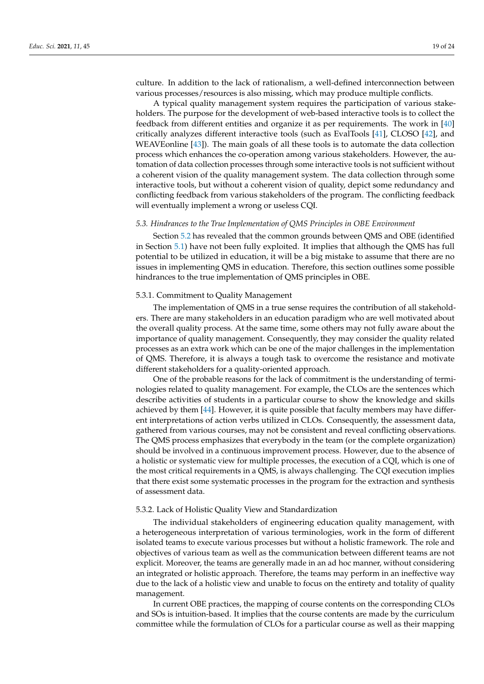culture. In addition to the lack of rationalism, a well-defined interconnection between various processes/resources is also missing, which may produce multiple conflicts.

A typical quality management system requires the participation of various stakeholders. The purpose for the development of web-based interactive tools is to collect the feedback from different entities and organize it as per requirements. The work in [40] critically analyzes different interactive tools (such as EvalTools [41], CLOSO [42], and WEAVEonline [43]). The main goals of all these tools is to automate the data collection process which enhances the co-operation among various stakeholders. However, the automation of data collection processes through some interactive tools is not sufficient without a coherent vision of the quality management system. The data collection through some interactive tools, but without a coherent vision of quality, depict some redundancy and conflicting feedback from various stakeholders of the program. The conflicting feedback will eventually implement a wrong or useless CQI.

# *5.3. Hindrances to the True Implementation of QMS Principles in OBE Environment*

Section 5.2 has revealed that the common grounds between QMS and OBE (identified in Section 5.1) have not been fully exploited. It implies that although the QMS has full potential to be utilized in education, it will be a big mistake to assume that there are no issues in implementing QMS in education. Therefore, this section outlines some possible hindrances to the true implementation of QMS principles in OBE.

#### 5.3.1. Commitment to Quality Management

The implementation of QMS in a true sense requires the contribution of all stakeholders. There are many stakeholders in an education paradigm who are well motivated about the overall quality process. At the same time, some others may not fully aware about the importance of quality management. Consequently, they may consider the quality related processes as an extra work which can be one of the major challenges in the implementation of QMS. Therefore, it is always a tough task to overcome the resistance and motivate different stakeholders for a quality-oriented approach.

One of the probable reasons for the lack of commitment is the understanding of terminologies related to quality management. For example, the CLOs are the sentences which describe activities of students in a particular course to show the knowledge and skills achieved by them [44]. However, it is quite possible that faculty members may have different interpretations of action verbs utilized in CLOs. Consequently, the assessment data, gathered from various courses, may not be consistent and reveal conflicting observations. The QMS process emphasizes that everybody in the team (or the complete organization) should be involved in a continuous improvement process. However, due to the absence of a holistic or systematic view for multiple processes, the execution of a CQI, which is one of the most critical requirements in a QMS, is always challenging. The CQI execution implies that there exist some systematic processes in the program for the extraction and synthesis of assessment data.

## 5.3.2. Lack of Holistic Quality View and Standardization

The individual stakeholders of engineering education quality management, with a heterogeneous interpretation of various terminologies, work in the form of different isolated teams to execute various processes but without a holistic framework. The role and objectives of various team as well as the communication between different teams are not explicit. Moreover, the teams are generally made in an ad hoc manner, without considering an integrated or holistic approach. Therefore, the teams may perform in an ineffective way due to the lack of a holistic view and unable to focus on the entirety and totality of quality management.

In current OBE practices, the mapping of course contents on the corresponding CLOs and SOs is intuition-based. It implies that the course contents are made by the curriculum committee while the formulation of CLOs for a particular course as well as their mapping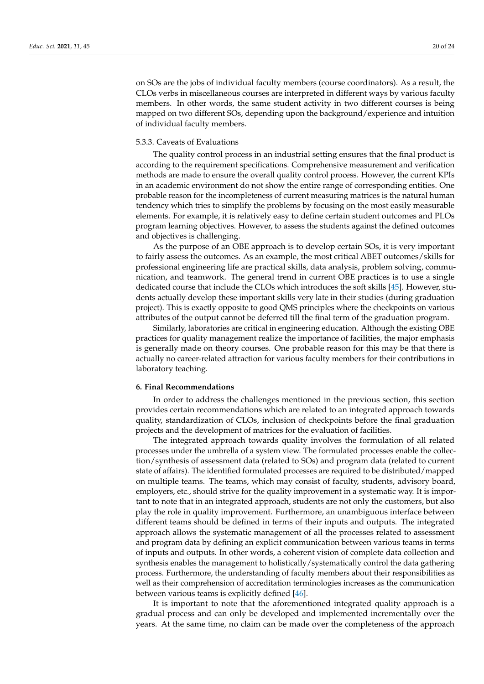on SOs are the jobs of individual faculty members (course coordinators). As a result, the CLOs verbs in miscellaneous courses are interpreted in different ways by various faculty members. In other words, the same student activity in two different courses is being mapped on two different SOs, depending upon the background/experience and intuition of individual faculty members.

# 5.3.3. Caveats of Evaluations

The quality control process in an industrial setting ensures that the final product is according to the requirement specifications. Comprehensive measurement and verification methods are made to ensure the overall quality control process. However, the current KPIs in an academic environment do not show the entire range of corresponding entities. One probable reason for the incompleteness of current measuring matrices is the natural human tendency which tries to simplify the problems by focusing on the most easily measurable elements. For example, it is relatively easy to define certain student outcomes and PLOs program learning objectives. However, to assess the students against the defined outcomes and objectives is challenging.

As the purpose of an OBE approach is to develop certain SOs, it is very important to fairly assess the outcomes. As an example, the most critical ABET outcomes/skills for professional engineering life are practical skills, data analysis, problem solving, communication, and teamwork. The general trend in current OBE practices is to use a single dedicated course that include the CLOs which introduces the soft skills [45]. However, students actually develop these important skills very late in their studies (during graduation project). This is exactly opposite to good QMS principles where the checkpoints on various attributes of the output cannot be deferred till the final term of the graduation program.

Similarly, laboratories are critical in engineering education. Although the existing OBE practices for quality management realize the importance of facilities, the major emphasis is generally made on theory courses. One probable reason for this may be that there is actually no career-related attraction for various faculty members for their contributions in laboratory teaching.

# **6. Final Recommendations**

In order to address the challenges mentioned in the previous section, this section provides certain recommendations which are related to an integrated approach towards quality, standardization of CLOs, inclusion of checkpoints before the final graduation projects and the development of matrices for the evaluation of facilities.

The integrated approach towards quality involves the formulation of all related processes under the umbrella of a system view. The formulated processes enable the collection/synthesis of assessment data (related to SOs) and program data (related to current state of affairs). The identified formulated processes are required to be distributed/mapped on multiple teams. The teams, which may consist of faculty, students, advisory board, employers, etc., should strive for the quality improvement in a systematic way. It is important to note that in an integrated approach, students are not only the customers, but also play the role in quality improvement. Furthermore, an unambiguous interface between different teams should be defined in terms of their inputs and outputs. The integrated approach allows the systematic management of all the processes related to assessment and program data by defining an explicit communication between various teams in terms of inputs and outputs. In other words, a coherent vision of complete data collection and synthesis enables the management to holistically/systematically control the data gathering process. Furthermore, the understanding of faculty members about their responsibilities as well as their comprehension of accreditation terminologies increases as the communication between various teams is explicitly defined [46].

It is important to note that the aforementioned integrated quality approach is a gradual process and can only be developed and implemented incrementally over the years. At the same time, no claim can be made over the completeness of the approach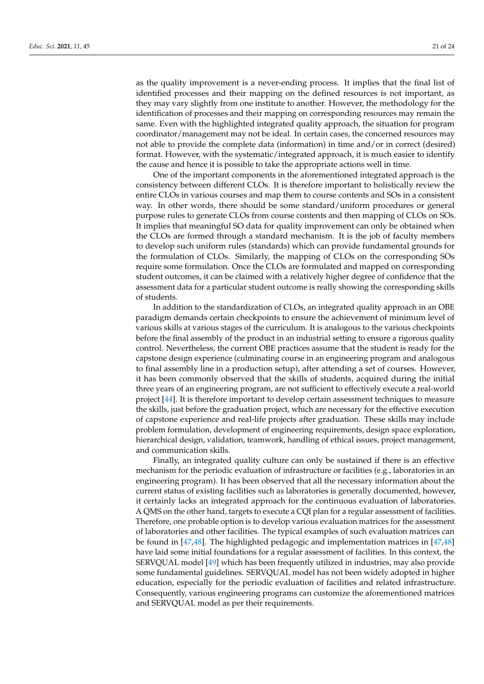as the quality improvement is a never-ending process. It implies that the final list of identified processes and their mapping on the defined resources is not important, as they may vary slightly from one institute to another. However, the methodology for the identification of processes and their mapping on corresponding resources may remain the same. Even with the highlighted integrated quality approach, the situation for program coordinator/management may not be ideal. In certain cases, the concerned resources may not able to provide the complete data (information) in time and/or in correct (desired) format. However, with the systematic/integrated approach, it is much easier to identify the cause and hence it is possible to take the appropriate actions well in time.

One of the important components in the aforementioned integrated approach is the consistency between different CLOs. It is therefore important to holistically review the entire CLOs in various courses and map them to course contents and SOs in a consistent way. In other words, there should be some standard/uniform procedures or general purpose rules to generate CLOs from course contents and then mapping of CLOs on SOs. It implies that meaningful SO data for quality improvement can only be obtained when the CLOs are formed through a standard mechanism. It is the job of faculty members to develop such uniform rules (standards) which can provide fundamental grounds for the formulation of CLOs. Similarly, the mapping of CLOs on the corresponding SOs require some formulation. Once the CLOs are formulated and mapped on corresponding student outcomes, it can be claimed with a relatively higher degree of confidence that the assessment data for a particular student outcome is really showing the corresponding skills of students.

In addition to the standardization of CLOs, an integrated quality approach in an OBE paradigm demands certain checkpoints to ensure the achievement of minimum level of various skills at various stages of the curriculum. It is analogous to the various checkpoints before the final assembly of the product in an industrial setting to ensure a rigorous quality control. Nevertheless, the current OBE practices assume that the student is ready for the capstone design experience (culminating course in an engineering program and analogous to final assembly line in a production setup), after attending a set of courses. However, it has been commonly observed that the skills of students, acquired during the initial three years of an engineering program, are not sufficient to effectively execute a real-world project [44]. It is therefore important to develop certain assessment techniques to measure the skills, just before the graduation project, which are necessary for the effective execution of capstone experience and real-life projects after graduation. These skills may include problem formulation, development of engineering requirements, design space exploration, hierarchical design, validation, teamwork, handling of ethical issues, project management, and communication skills.

Finally, an integrated quality culture can only be sustained if there is an effective mechanism for the periodic evaluation of infrastructure or facilities (e.g., laboratories in an engineering program). It has been observed that all the necessary information about the current status of existing facilities such as laboratories is generally documented, however, it certainly lacks an integrated approach for the continuous evaluation of laboratories. A QMS on the other hand, targets to execute a CQI plan for a regular assessment of facilities. Therefore, one probable option is to develop various evaluation matrices for the assessment of laboratories and other facilities. The typical examples of such evaluation matrices can be found in [47,48]. The highlighted pedagogic and implementation matrices in [47,48] have laid some initial foundations for a regular assessment of facilities. In this context, the SERVQUAL model [49] which has been frequently utilized in industries, may also provide some fundamental guidelines. SERVQUAL model has not been widely adopted in higher education, especially for the periodic evaluation of facilities and related infrastructure. Consequently, various engineering programs can customize the aforementioned matrices and SERVQUAL model as per their requirements.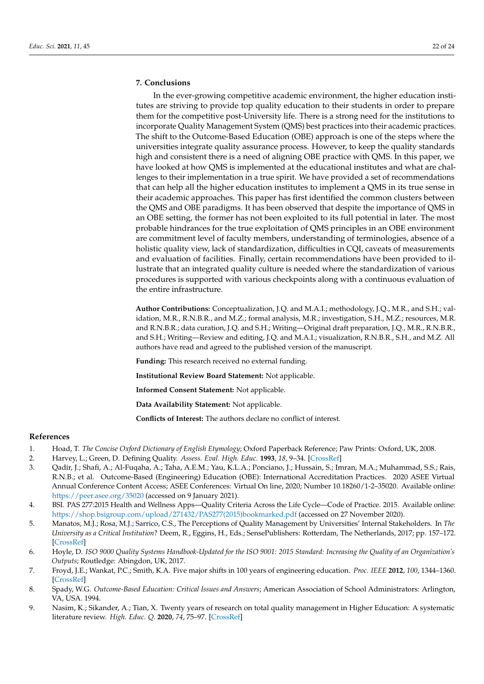# **7. Conclusions**

In the ever-growing competitive academic environment, the higher education institutes are striving to provide top quality education to their students in order to prepare them for the competitive post-University life. There is a strong need for the institutions to incorporate Quality Management System (QMS) best practices into their academic practices. The shift to the Outcome-Based Education (OBE) approach is one of the steps where the universities integrate quality assurance process. However, to keep the quality standards high and consistent there is a need of aligning OBE practice with QMS. In this paper, we have looked at how QMS is implemented at the educational institutes and what are challenges to their implementation in a true spirit. We have provided a set of recommendations that can help all the higher education institutes to implement a QMS in its true sense in their academic approaches. This paper has first identified the common clusters between the QMS and OBE paradigms. It has been observed that despite the importance of QMS in an OBE setting, the former has not been exploited to its full potential in later. The most probable hindrances for the true exploitation of QMS principles in an OBE environment are commitment level of faculty members, understanding of terminologies, absence of a holistic quality view, lack of standardization, difficulties in CQI, caveats of measurements and evaluation of facilities. Finally, certain recommendations have been provided to illustrate that an integrated quality culture is needed where the standardization of various procedures is supported with various checkpoints along with a continuous evaluation of the entire infrastructure.

**Author Contributions:** Conceptualization, J.Q. and M.A.I.; methodology, J.Q., M.R., and S.H.; validation, M.R., R.N.B.R., and M.Z.; formal analysis, M.R.; investigation, S.H., M.Z.; resources, M.R. and R.N.B.R.; data curation, J.Q. and S.H.; Writing—Original draft preparation, J.Q., M.R., R.N.B.R., and S.H.; Writing—Review and editing, J.Q. and M.A.I.; visualization, R.N.B.R., S.H., and M.Z. All authors have read and agreed to the published version of the manuscript.

**Funding:** This research received no external funding.

**Institutional Review Board Statement:** Not applicable.

**Informed Consent Statement:** Not applicable.

**Data Availability Statement:** Not applicable.

**Conflicts of Interest:** The authors declare no conflict of interest.

#### **References**

- 1. Hoad, T. *The Concise Oxford Dictionary of English Etymology*; Oxford Paperback Reference; Paw Prints: Oxford, UK, 2008.
- 2. Harvey, L.; Green, D. Defining Quality. *Assess. Eval. High. Educ.* **1993**, *18*, 9–34. [CrossRef]
- 3. Qadir, J.; Shafi, A.; Al-Fuqaha, A.; Taha, A.E.M.; Yau, K.L.A.; Ponciano, J.; Hussain, S.; Imran, M.A.; Muhammad, S.S.; Rais, R.N.B.; et al. Outcome-Based (Engineering) Education (OBE): International Accreditation Practices. 2020 ASEE Virtual Annual Conference Content Access; ASEE Conferences: Virtual On line, 2020; Number 10.18260/1-2–35020. Available online: https://peer.asee.org/35020 (accessed on 9 January 2021).
- 4. BSI. PAS 277:2015 Health and Wellness Apps—Quality Criteria Across the Life Cycle—Code of Practice. 2015. Available online: https://shop.bsigroup.com/upload/271432/PAS277(2015)bookmarked.pdf (accessed on 27 November 2020).
- 5. Manatos, M.J.; Rosa, M.J.; Sarrico, C.S., The Perceptions of Quality Management by Universities' Internal Stakeholders. In *The University as a Critical Institution*? Deem, R., Eggins, H., Eds.; SensePublishers: Rotterdam, The Netherlands, 2017; pp. 157–172. [CrossRef]
- 6. Hoyle, D. *ISO 9000 Quality Systems Handbook-Updated for the ISO 9001: 2015 Standard: Increasing the Quality of an Organization's Outputs*; Routledge: Abingdon, UK, 2017.
- 7. Froyd, J.E.; Wankat, P.C.; Smith, K.A. Five major shifts in 100 years of engineering education. *Proc. IEEE* **2012**, *100*, 1344–1360. [CrossRef]
- 8. Spady, W.G. *Outcome-Based Education: Critical Issues and Answers*; American Association of School Administrators: Arlington, VA, USA. 1994.
- 9. Nasim, K.; Sikander, A.; Tian, X. Twenty years of research on total quality management in Higher Education: A systematic literature review. *High. Educ. Q.* **2020**, *74*, 75–97. [CrossRef]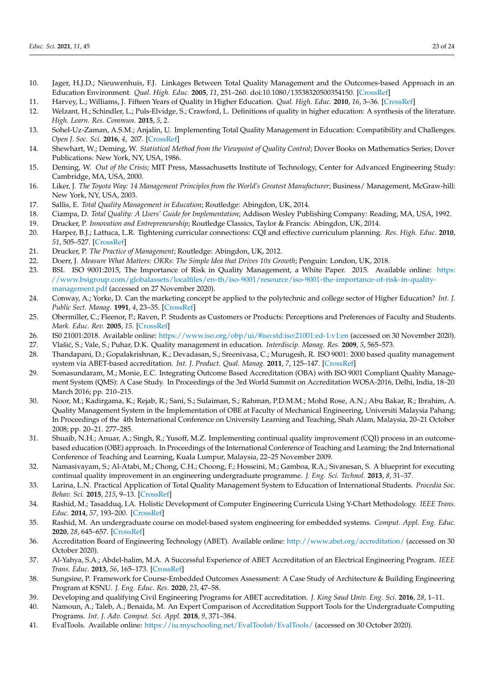- 10. Jager, H.J.D.; Nieuwenhuis, F.J. Linkages Between Total Quality Management and the Outcomes-based Approach in an Education Environment. *Qual. High. Educ.* **2005**, *11*, 251–260. doi:10.1080/13538320500354150. [CrossRef]
- 11. Harvey, L.; Williams, J. Fifteen Years of Quality in Higher Education. *Qual. High. Educ.* **2010**, *16*, 3–36. [CrossRef]
- 12. Welzant, H.; Schindler, L.; Puls-Elvidge, S.; Crawford, L. Definitions of quality in higher education: A synthesis of the literature. *High. Learn. Res. Commun.* **2015**, *5*, 2.
- 13. Sohel-Uz-Zaman, A.S.M.; Anjalin, U. Implementing Total Quality Management in Education: Compatibility and Challenges. *Open J. Soc. Sci.* **2016**, *4*, 207. [CrossRef]
- 14. Shewhart, W.; Deming, W. *Statistical Method from the Viewpoint of Quality Control*; Dover Books on Mathematics Series; Dover Publications: New York, NY, USA, 1986.
- 15. Deming, W. *Out of the Crisis*; MIT Press, Massachusetts Institute of Technology, Center for Advanced Engineering Study: Cambridge, MA, USA, 2000.
- 16. Liker, J. *The Toyota Way: 14 Management Principles from the World's Greatest Manufacturer*; Business/ Management, McGraw-hill: New York, NY, USA, 2003.
- 17. Sallis, E. *Total Quality Management in Education*; Routledge: Abingdon, UK, 2014.
- 18. Ciampa, D. *Total Quality: A Users' Guide for Implementation*; Addison Wesley Publishing Company: Reading, MA, USA, 1992.
- 19. Drucker, P. *Innovation and Entrepreneurship*; Routledge Classics, Taylor & Francis: Abingdon, UK, 2014.
- 20. Harper, B.J.; Lattuca, L.R. Tightening curricular connections: CQI and effective curriculum planning. *Res. High. Educ.* **2010**, *51*, 505–527. [CrossRef]
- 21. Drucker, P. *The Practice of Management*; Routledge: Abingdon, UK, 2012.
- 22. Doerr, J. *Measure What Matters: OKRs: The Simple Idea that Drives 10x Growth*; Penguin: London, UK, 2018.
- 23. BSI. ISO 9001:2015, The Importance of Risk in Quality Management, a White Paper. 2015. Available online: https: //www.bsigroup.com/globalassets/localfiles/en-th/iso-9001/resource/iso-9001-the-importance-of-risk-in-qualitymanagement.pdf (accessed on 27 November 2020).
- 24. Conway, A.; Yorke, D. Can the marketing concept be applied to the polytechnic and college sector of Higher Education? *Int. J. Public Sect. Manag.* **1991**, *4*, 23–35. [CrossRef]
- 25. Obermiller, C.; Fleenor, P.; Raven, P. Students as Customers or Products: Perceptions and Preferences of Faculty and Students. *Mark. Educ. Rev.* **2005**, *15*. [CrossRef]
- 26. IS0 21001:2018. Available online: https://www.iso.org/obp/ui/#iso:std:iso:21001:ed-1:v1:en (accessed on 30 November 2020).
- 27. Vlaši´c, S.; Vale, S.; Puhar, D.K. Quality management in education. *Interdiscip. Manag. Res.* **2009**, *5*, 565–573.
- 28. Thandapani, D.; Gopalakrishnan, K.; Devadasan, S.; Sreenivasa, C.; Murugesh, R. ISO 9001: 2000 based quality management system via ABET-based accreditation. *Int. J. Product. Qual. Manag.* **2011**, *7*, 125–147. [CrossRef]
- 29. Somasundaram, M.; Monie, E.C. Integrating Outcome Based Accreditation (OBA) with ISO 9001 Compliant Quality Management System (QMS): A Case Study. In Proceedings of the 3rd World Summit on Accreditation WOSA-2016, Delhi, India, 18–20 March 2016; pp. 210–215.
- 30. Noor, M.; Kadirgama, K.; Rejab, R.; Sani, S.; Sulaiman, S.; Rahman, P.D.M.M.; Mohd Rose, A.N.; Abu Bakar, R.; Ibrahim, A. Quality Management System in the Implementation of OBE at Faculty of Mechanical Engineering, Universiti Malaysia Pahang; In Proceedings of the 4th International Conference on University Learning and Teaching, Shah Alam, Malaysia, 20–21 October 2008; pp. 20–21. 277–285.
- 31. Shuaib, N.H.; Anuar, A.; Singh, R.; Yusoff, M.Z. Implementing continual quality improvement (CQI) process in an outcomebased education (OBE) approach. In Proceedings of the International Conference of Teaching and Learning; the 2nd International Conference of Teaching and Learning, Kuala Lumpur, Malaysia, 22–25 November 2009.
- 32. Namasivayam, S.; Al-Atabi, M.; Chong, C.H.; Choong, F.; Hosseini, M.; Gamboa, R.A.; Sivanesan, S. A blueprint for executing continual quality improvement in an engineering undergraduate programme. *J. Eng. Sci. Technol.* **2013**, *8*, 31–37.
- 33. Larina, L.N. Practical Application of Total Quality Management System to Education of International Students. *Procedia Soc. Behav. Sci.* **2015**, *215*, 9–13. [CrossRef]
- 34. Rashid, M.; Tasadduq, I.A. Holistic Development of Computer Engineering Curricula Using Y-Chart Methodology. *IEEE Trans. Educ.* **2014**, *57*, 193–200. [CrossRef]
- 35. Rashid, M. An undergraduate course on model-based system engineering for embedded systems. *Comput. Appl. Eng. Educ.* **2020**, *28*, 645–657. [CrossRef]
- 36. Accreditation Board of Engineering Technology (ABET). Available online: http://www.abet.org/accreditation/ (accessed on 30 October 2020).
- 37. Al-Yahya, S.A.; Abdel-halim, M.A. A Successful Experience of ABET Accreditation of an Electrical Engineering Program. *IEEE Trans. Educ.* **2013**, *56*, 165–173. [CrossRef]
- 38. Sungsine, P. Framework for Course-Embedded Outcomes Assessment: A Case Study of Architecture & Building Engineering Program at KSNU. *J. Eng. Educ. Res.* **2020**, *23*, 47–58.
- 39. Developing and qualifying Civil Engineering Programs for ABET accreditation. *J. King Saud Univ. Eng. Sci.* **2016**, *28*, 1–11.
- 40. Namoun, A.; Taleb, A.; Benaida, M. An Expert Comparison of Accreditation Support Tools for the Undergraduate Computing Programs. *Int. J. Adv. Comput. Sci. Appl.* **2018**, *9*, 371–384.
- 41. EvalTools. Available online: https://iu.myschooling.net/EvalTools6/EvalTools/ (accessed on 30 October 2020).